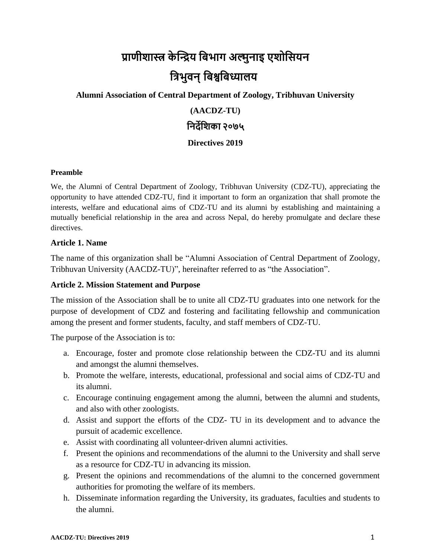# **प्राणीशास्त्र के न्द्रिय बिभाग अल्मुनाइ एशोबियन बिभुवन्बिश्वबिध्यालय**

#### **Alumni Association of Central Department of Zoology, Tribhuvan University**

### **(AACDZ-TU)**

## **बनर्देबशका २०७५**

#### **Directives 2019**

#### **Preamble**

We, the Alumni of Central Department of Zoology, Tribhuvan University (CDZ-TU), appreciating the opportunity to have attended CDZ-TU, find it important to form an organization that shall promote the interests, welfare and educational aims of CDZ-TU and its alumni by establishing and maintaining a mutually beneficial relationship in the area and across Nepal, do hereby promulgate and declare these directives.

#### **Article 1. Name**

The name of this organization shall be "Alumni Association of Central Department of Zoology, Tribhuvan University (AACDZ-TU)", hereinafter referred to as "the Association".

#### **Article 2. Mission Statement and Purpose**

The mission of the Association shall be to unite all CDZ-TU graduates into one network for the purpose of development of CDZ and fostering and facilitating fellowship and communication among the present and former students, faculty, and staff members of CDZ-TU.

The purpose of the Association is to:

- a. Encourage, foster and promote close relationship between the CDZ-TU and its alumni and amongst the alumni themselves.
- b. Promote the welfare, interests, educational, professional and social aims of CDZ-TU and its alumni.
- c. Encourage continuing engagement among the alumni, between the alumni and students, and also with other zoologists.
- d. Assist and support the efforts of the CDZ- TU in its development and to advance the pursuit of academic excellence.
- e. Assist with coordinating all volunteer-driven alumni activities.
- f. Present the opinions and recommendations of the alumni to the University and shall serve as a resource for CDZ-TU in advancing its mission.
- g. Present the opinions and recommendations of the alumni to the concerned government authorities for promoting the welfare of its members.
- h. Disseminate information regarding the University, its graduates, faculties and students to the alumni.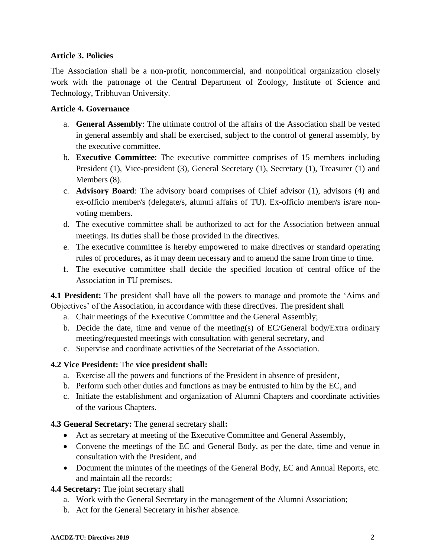#### **Article 3. Policies**

The Association shall be a non-profit, noncommercial, and nonpolitical organization closely work with the patronage of the Central Department of Zoology, Institute of Science and Technology, Tribhuvan University.

#### **Article 4. Governance**

- a. **General Assembly**: The ultimate control of the affairs of the Association shall be vested in general assembly and shall be exercised, subject to the control of general assembly, by the executive committee.
- b. **Executive Committee**: The executive committee comprises of 15 members including President (1), Vice-president (3), General Secretary (1), Secretary (1), Treasurer (1) and Members  $(8)$ .
- c. **Advisory Board**: The advisory board comprises of Chief advisor (1), advisors (4) and ex-officio member/s (delegate/s, alumni affairs of TU). Ex-officio member/s is/are nonvoting members.
- d. The executive committee shall be authorized to act for the Association between annual meetings. Its duties shall be those provided in the directives.
- e. The executive committee is hereby empowered to make directives or standard operating rules of procedures, as it may deem necessary and to amend the same from time to time.
- f. The executive committee shall decide the specified location of central office of the Association in TU premises.

**4.1 President:** The president shall have all the powers to manage and promote the 'Aims and Objectives' of the Association, in accordance with these directives. The president shall

- a. Chair meetings of the Executive Committee and the General Assembly;
- b. Decide the date, time and venue of the meeting(s) of EC/General body/Extra ordinary meeting/requested meetings with consultation with general secretary, and
- c. Supervise and coordinate activities of the Secretariat of the Association.

#### **4.2 Vice President:** The **vice president shall:**

- a. Exercise all the powers and functions of the President in absence of president,
- b. Perform such other duties and functions as may be entrusted to him by the EC, and
- c. Initiate the establishment and organization of Alumni Chapters and coordinate activities of the various Chapters.

#### **4.3 General Secretary:** The general secretary shall**:**

- Act as secretary at meeting of the Executive Committee and General Assembly,
- Convene the meetings of the EC and General Body, as per the date, time and venue in consultation with the President, and
- Document the minutes of the meetings of the General Body, EC and Annual Reports, etc. and maintain all the records;

#### **4.4 Secretary:** The joint secretary shall

- a. Work with the General Secretary in the management of the Alumni Association;
- b. Act for the General Secretary in his/her absence.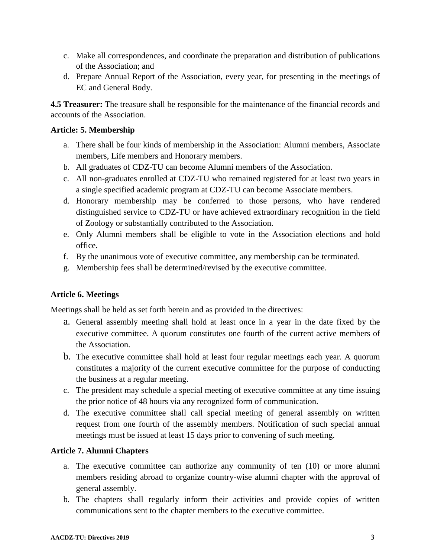- c. Make all correspondences, and coordinate the preparation and distribution of publications of the Association; and
- d. Prepare Annual Report of the Association, every year, for presenting in the meetings of EC and General Body.

**4.5 Treasurer:** The treasure shall be responsible for the maintenance of the financial records and accounts of the Association.

#### **Article: 5. Membership**

- a. There shall be four kinds of membership in the Association: Alumni members, Associate members, Life members and Honorary members.
- b. All graduates of CDZ-TU can become Alumni members of the Association.
- c. All non-graduates enrolled at CDZ-TU who remained registered for at least two years in a single specified academic program at CDZ-TU can become Associate members.
- d. Honorary membership may be conferred to those persons, who have rendered distinguished service to CDZ-TU or have achieved extraordinary recognition in the field of Zoology or substantially contributed to the Association.
- e. Only Alumni members shall be eligible to vote in the Association elections and hold office.
- f. By the unanimous vote of executive committee, any membership can be terminated.
- g. Membership fees shall be determined/revised by the executive committee.

#### **Article 6. Meetings**

Meetings shall be held as set forth herein and as provided in the directives:

- a. General assembly meeting shall hold at least once in a year in the date fixed by the executive committee. A quorum constitutes one fourth of the current active members of the Association.
- b. The executive committee shall hold at least four regular meetings each year. A quorum constitutes a majority of the current executive committee for the purpose of conducting the business at a regular meeting.
- c. The president may schedule a special meeting of executive committee at any time issuing the prior notice of 48 hours via any recognized form of communication.
- d. The executive committee shall call special meeting of general assembly on written request from one fourth of the assembly members. Notification of such special annual meetings must be issued at least 15 days prior to convening of such meeting.

#### **Article 7. Alumni Chapters**

- a. The executive committee can authorize any community of ten (10) or more alumni members residing abroad to organize country-wise alumni chapter with the approval of general assembly.
- b. The chapters shall regularly inform their activities and provide copies of written communications sent to the chapter members to the executive committee.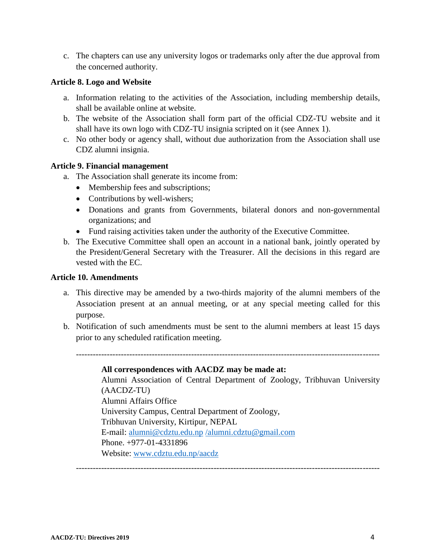c. The chapters can use any university logos or trademarks only after the due approval from the concerned authority.

#### **Article 8. Logo and Website**

- a. Information relating to the activities of the Association, including membership details, shall be available online at website.
- b. The website of the Association shall form part of the official CDZ-TU website and it shall have its own logo with CDZ-TU insignia scripted on it (see Annex 1).
- c. No other body or agency shall, without due authorization from the Association shall use CDZ alumni insignia.

#### **Article 9. Financial management**

- a. The Association shall generate its income from:
	- Membership fees and subscriptions;
	- Contributions by well-wishers;
	- Donations and grants from Governments, bilateral donors and non-governmental organizations; and
	- Fund raising activities taken under the authority of the Executive Committee.
- b. The Executive Committee shall open an account in a national bank, jointly operated by the President/General Secretary with the Treasurer. All the decisions in this regard are vested with the EC.

#### **Article 10. Amendments**

- a. This directive may be amended by a two-thirds majority of the alumni members of the Association present at an annual meeting, or at any special meeting called for this purpose.
- b. Notification of such amendments must be sent to the alumni members at least 15 days prior to any scheduled ratification meeting.

#### **All correspondences with AACDZ may be made at:**

Alumni Association of Central Department of Zoology, Tribhuvan University (AACDZ-TU) Alumni Affairs Office University Campus, Central Department of Zoology, Tribhuvan University, Kirtipur, NEPAL E-mail: [alumni@cdztu.edu.np](mailto:alumni@cdztu.edu.np) [/alumni.cdztu@gmail.com](mailto:/alumni.cdztu@gmail.com) Phone. +977-01-4331896 Website: [www.cdztu.edu.np/aacdz](http://www.cdztu.edu.np/aacdz)

------------------------------------------------------------------------------------------------------------